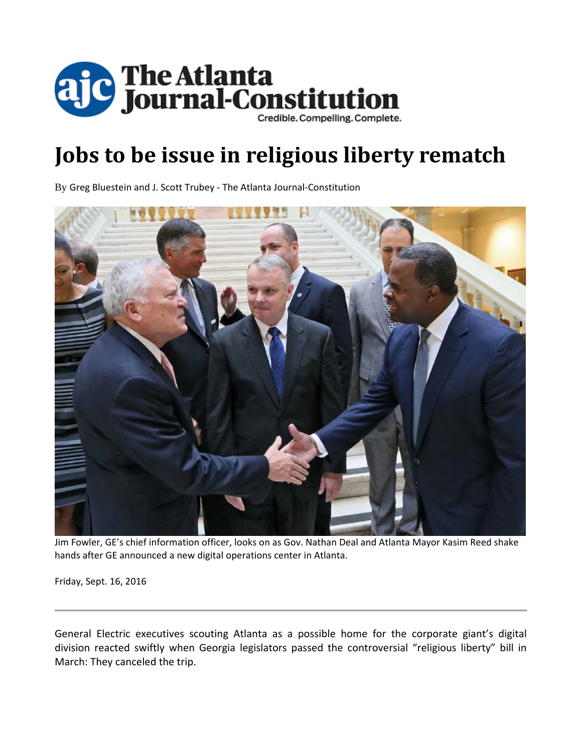

# **Jobs to be issue in religious liberty rematch**

By Greg Bluestein and J. Scott Trubey ‐ The Atlanta Journal‐Constitution



Jim Fowler, GE's chief information officer, looks on as Gov. Nathan Deal and Atlanta Mayor Kasim Reed shake hands after GE announced a new digital operations center in Atlanta.

Friday, Sept. 16, 2016

General Electric executives scouting Atlanta as a possible home for the corporate giant's digital division reacted swiftly when Georgia legislators passed the controversial "religious liberty" bill in March: They canceled the trip.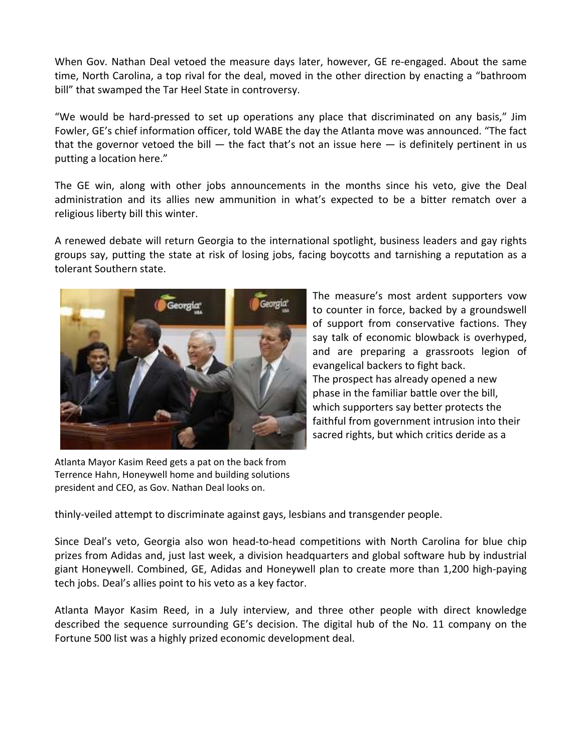When Gov. Nathan Deal vetoed the measure days later, however, GE re-engaged. About the same time, North Carolina, a top rival for the deal, moved in the other direction by enacting a "bathroom bill" that swamped the Tar Heel State in controversy.

"We would be hard‐pressed to set up operations any place that discriminated on any basis," Jim Fowler, GE's chief information officer, told WABE the day the Atlanta move was announced. "The fact that the governor vetoed the bill  $-$  the fact that's not an issue here  $-$  is definitely pertinent in us putting a location here."

The GE win, along with other jobs announcements in the months since his veto, give the Deal administration and its allies new ammunition in what's expected to be a bitter rematch over a religious liberty bill this winter.

A renewed debate will return Georgia to the international spotlight, business leaders and gay rights groups say, putting the state at risk of losing jobs, facing boycotts and tarnishing a reputation as a tolerant Southern state.



The measure's most ardent supporters vow to counter in force, backed by a groundswell of support from conservative factions. They say talk of economic blowback is overhyped, and are preparing a grassroots legion of evangelical backers to fight back. The prospect has already opened a new phase in the familiar battle over the bill, which supporters say better protects the faithful from government intrusion into their sacred rights, but which critics deride as a

Atlanta Mayor Kasim Reed gets a pat on the back from Terrence Hahn, Honeywell home and building solutions president and CEO, as Gov. Nathan Deal looks on.

thinly‐veiled attempt to discriminate against gays, lesbians and transgender people.

Since Deal's veto, Georgia also won head‐to‐head competitions with North Carolina for blue chip prizes from Adidas and, just last week, a division headquarters and global software hub by industrial giant Honeywell. Combined, GE, Adidas and Honeywell plan to create more than 1,200 high‐paying tech jobs. Deal's allies point to his veto as a key factor.

Atlanta Mayor Kasim Reed, in a July interview, and three other people with direct knowledge described the sequence surrounding GE's decision. The digital hub of the No. 11 company on the Fortune 500 list was a highly prized economic development deal.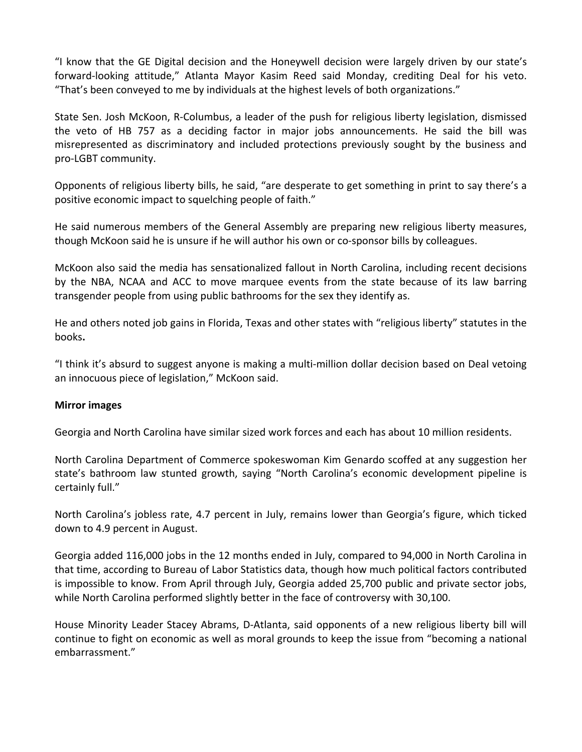"I know that the GE Digital decision and the Honeywell decision were largely driven by our state's forward‐looking attitude," Atlanta Mayor Kasim Reed said Monday, crediting Deal for his veto. "That's been conveyed to me by individuals at the highest levels of both organizations."

State Sen. Josh McKoon, R‐Columbus, a leader of the push for religious liberty legislation, dismissed the veto of HB 757 as a deciding factor in major jobs announcements. He said the bill was misrepresented as discriminatory and included protections previously sought by the business and pro‐LGBT community.

Opponents of religious liberty bills, he said, "are desperate to get something in print to say there's a positive economic impact to squelching people of faith."

He said numerous members of the General Assembly are preparing new religious liberty measures, though McKoon said he is unsure if he will author his own or co‐sponsor bills by colleagues.

McKoon also said the media has sensationalized fallout in North Carolina, including recent decisions by the NBA, NCAA and ACC to move marquee events from the state because of its law barring transgender people from using public bathrooms for the sex they identify as.

He and others noted job gains in Florida, Texas and other states with "religious liberty" statutes in the books**.**

"I think it's absurd to suggest anyone is making a multi‐million dollar decision based on Deal vetoing an innocuous piece of legislation," McKoon said.

#### **Mirror images**

Georgia and North Carolina have similar sized work forces and each has about 10 million residents.

North Carolina Department of Commerce spokeswoman Kim Genardo scoffed at any suggestion her state's bathroom law stunted growth, saying "North Carolina's economic development pipeline is certainly full."

North Carolina's jobless rate, 4.7 percent in July, remains lower than Georgia's figure, which ticked down to 4.9 percent in August.

Georgia added 116,000 jobs in the 12 months ended in July, compared to 94,000 in North Carolina in that time, according to Bureau of Labor Statistics data, though how much political factors contributed is impossible to know. From April through July, Georgia added 25,700 public and private sector jobs, while North Carolina performed slightly better in the face of controversy with 30,100.

House Minority Leader Stacey Abrams, D‐Atlanta, said opponents of a new religious liberty bill will continue to fight on economic as well as moral grounds to keep the issue from "becoming a national embarrassment."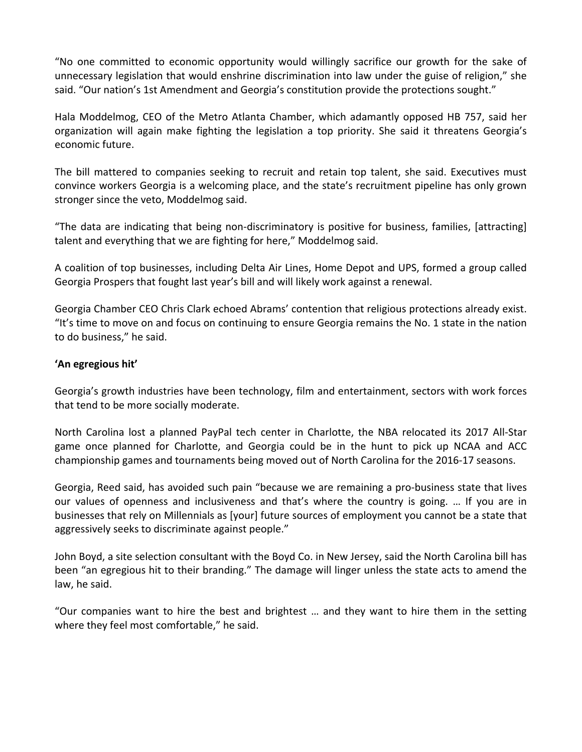"No one committed to economic opportunity would willingly sacrifice our growth for the sake of unnecessary legislation that would enshrine discrimination into law under the guise of religion," she said. "Our nation's 1st Amendment and Georgia's constitution provide the protections sought."

Hala Moddelmog, CEO of the Metro Atlanta Chamber, which adamantly opposed HB 757, said her organization will again make fighting the legislation a top priority. She said it threatens Georgia's economic future.

The bill mattered to companies seeking to recruit and retain top talent, she said. Executives must convince workers Georgia is a welcoming place, and the state's recruitment pipeline has only grown stronger since the veto, Moddelmog said.

"The data are indicating that being non‐discriminatory is positive for business, families, [attracting] talent and everything that we are fighting for here," Moddelmog said.

A coalition of top businesses, including Delta Air Lines, Home Depot and UPS, formed a group called Georgia Prospers that fought last year's bill and will likely work against a renewal.

Georgia Chamber CEO Chris Clark echoed Abrams' contention that religious protections already exist. "It's time to move on and focus on continuing to ensure Georgia remains the No. 1 state in the nation to do business," he said.

# **'An egregious hit'**

Georgia's growth industries have been technology, film and entertainment, sectors with work forces that tend to be more socially moderate.

North Carolina lost a planned PayPal tech center in Charlotte, the NBA relocated its 2017 All‐Star game once planned for Charlotte, and Georgia could be in the hunt to pick up NCAA and ACC championship games and tournaments being moved out of North Carolina for the 2016‐17 seasons.

Georgia, Reed said, has avoided such pain "because we are remaining a pro‐business state that lives our values of openness and inclusiveness and that's where the country is going. … If you are in businesses that rely on Millennials as [your] future sources of employment you cannot be a state that aggressively seeks to discriminate against people."

John Boyd, a site selection consultant with the Boyd Co. in New Jersey, said the North Carolina bill has been "an egregious hit to their branding." The damage will linger unless the state acts to amend the law, he said.

"Our companies want to hire the best and brightest … and they want to hire them in the setting where they feel most comfortable," he said.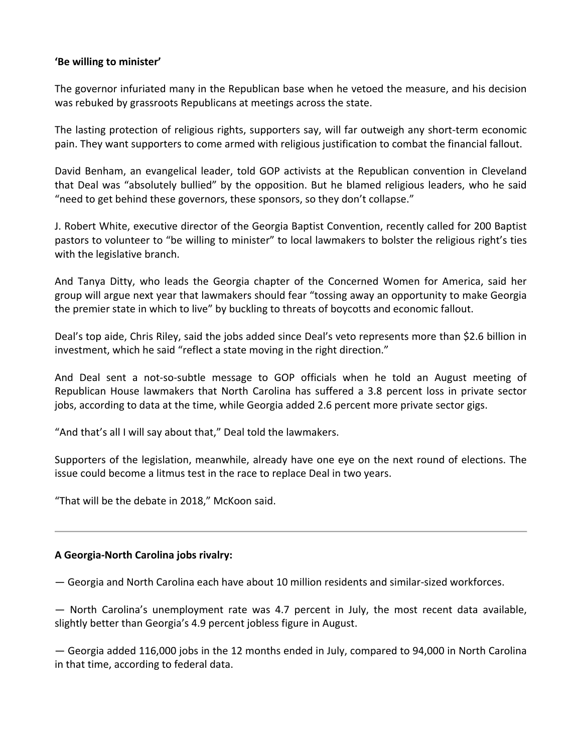## **'Be willing to minister'**

The governor infuriated many in the Republican base when he vetoed the measure, and his decision was rebuked by grassroots Republicans at meetings across the state.

The lasting protection of religious rights, supporters say, will far outweigh any short‐term economic pain. They want supporters to come armed with religious justification to combat the financial fallout.

David Benham, an evangelical leader, told GOP activists at the Republican convention in Cleveland that Deal was "absolutely bullied" by the opposition. But he blamed religious leaders, who he said "need to get behind these governors, these sponsors, so they don't collapse."

J. Robert White, executive director of the Georgia Baptist Convention, recently called for 200 Baptist pastors to volunteer to "be willing to minister" to local lawmakers to bolster the religious right's ties with the legislative branch.

And Tanya Ditty, who leads the Georgia chapter of the Concerned Women for America, said her group will argue next year that lawmakers should fear "tossing away an opportunity to make Georgia the premier state in which to live" by buckling to threats of boycotts and economic fallout.

Deal's top aide, Chris Riley, said the jobs added since Deal's veto represents more than \$2.6 billion in investment, which he said "reflect a state moving in the right direction."

And Deal sent a not‐so‐subtle message to GOP officials when he told an August meeting of Republican House lawmakers that North Carolina has suffered a 3.8 percent loss in private sector jobs, according to data at the time, while Georgia added 2.6 percent more private sector gigs.

"And that's all I will say about that," Deal told the lawmakers.

Supporters of the legislation, meanwhile, already have one eye on the next round of elections. The issue could become a litmus test in the race to replace Deal in two years.

"That will be the debate in 2018," McKoon said.

#### **A Georgia‐North Carolina jobs rivalry:**

— Georgia and North Carolina each have about 10 million residents and similar‐sized workforces.

— North Carolina's unemployment rate was 4.7 percent in July, the most recent data available, slightly better than Georgia's 4.9 percent jobless figure in August.

— Georgia added 116,000 jobs in the 12 months ended in July, compared to 94,000 in North Carolina in that time, according to federal data.